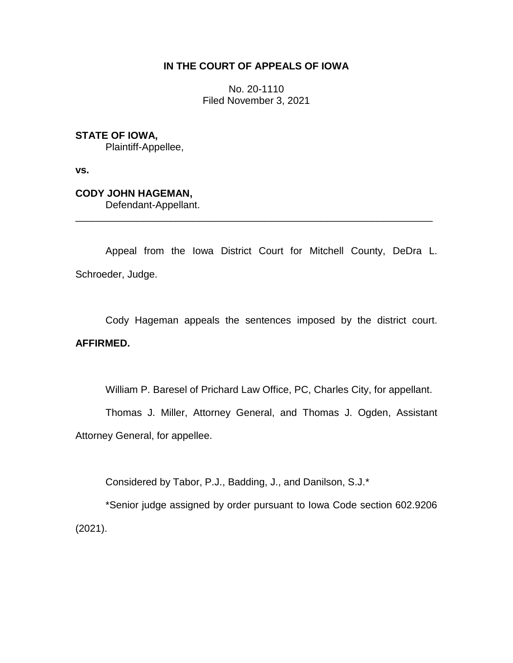## **IN THE COURT OF APPEALS OF IOWA**

No. 20-1110 Filed November 3, 2021

**STATE OF IOWA,**

Plaintiff-Appellee,

**vs.**

**CODY JOHN HAGEMAN,** Defendant-Appellant.

Appeal from the Iowa District Court for Mitchell County, DeDra L. Schroeder, Judge.

\_\_\_\_\_\_\_\_\_\_\_\_\_\_\_\_\_\_\_\_\_\_\_\_\_\_\_\_\_\_\_\_\_\_\_\_\_\_\_\_\_\_\_\_\_\_\_\_\_\_\_\_\_\_\_\_\_\_\_\_\_\_\_\_

Cody Hageman appeals the sentences imposed by the district court. **AFFIRMED.**

William P. Baresel of Prichard Law Office, PC, Charles City, for appellant.

Thomas J. Miller, Attorney General, and Thomas J. Ogden, Assistant Attorney General, for appellee.

Considered by Tabor, P.J., Badding, J., and Danilson, S.J.\*

\*Senior judge assigned by order pursuant to Iowa Code section 602.9206 (2021).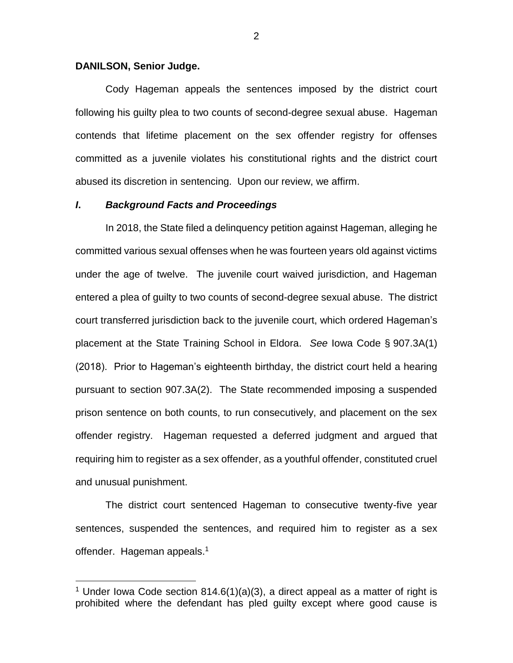#### **DANILSON, Senior Judge.**

 $\overline{a}$ 

Cody Hageman appeals the sentences imposed by the district court following his guilty plea to two counts of second-degree sexual abuse. Hageman contends that lifetime placement on the sex offender registry for offenses committed as a juvenile violates his constitutional rights and the district court abused its discretion in sentencing. Upon our review, we affirm.

### *I***.** *Background Facts and Proceedings*

In 2018, the State filed a delinquency petition against Hageman, alleging he committed various sexual offenses when he was fourteen years old against victims under the age of twelve. The juvenile court waived jurisdiction, and Hageman entered a plea of guilty to two counts of second-degree sexual abuse. The district court transferred jurisdiction back to the juvenile court, which ordered Hageman's placement at the State Training School in Eldora. *See* Iowa Code § 907.3A(1) (2018). Prior to Hageman's eighteenth birthday, the district court held a hearing pursuant to section 907.3A(2). The State recommended imposing a suspended prison sentence on both counts, to run consecutively, and placement on the sex offender registry. Hageman requested a deferred judgment and argued that requiring him to register as a sex offender, as a youthful offender, constituted cruel and unusual punishment.

The district court sentenced Hageman to consecutive twenty-five year sentences, suspended the sentences, and required him to register as a sex offender. Hageman appeals.<sup>1</sup>

<sup>&</sup>lt;sup>1</sup> Under Iowa Code section 814.6(1)(a)(3), a direct appeal as a matter of right is prohibited where the defendant has pled guilty except where good cause is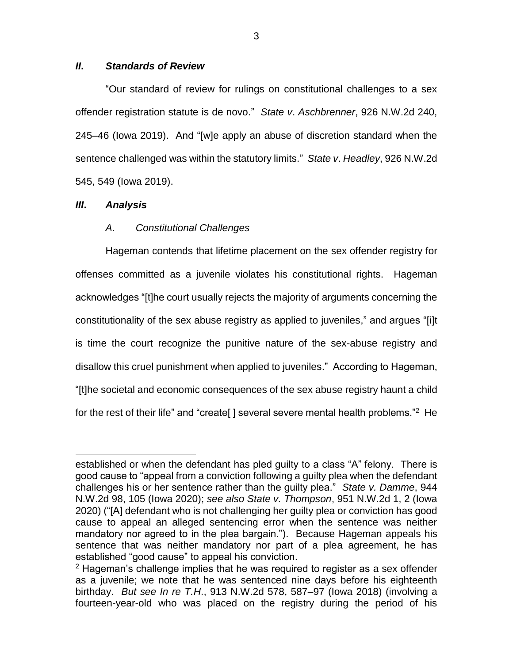## *II***.** *Standards of Review*

"Our standard of review for rulings on constitutional challenges to a sex offender registration statute is de novo." *State v*. *Aschbrenner*, 926 N.W.2d 240, 245–46 (Iowa 2019). And "[w]e apply an abuse of discretion standard when the sentence challenged was within the statutory limits." *State v*. *Headley*, 926 N.W.2d 545, 549 (Iowa 2019).

## *III***.** *Analysis*

 $\overline{a}$ 

# *A*. *Constitutional Challenges*

Hageman contends that lifetime placement on the sex offender registry for offenses committed as a juvenile violates his constitutional rights. Hageman acknowledges "[t]he court usually rejects the majority of arguments concerning the constitutionality of the sex abuse registry as applied to juveniles," and argues "[i]t is time the court recognize the punitive nature of the sex-abuse registry and disallow this cruel punishment when applied to juveniles." According to Hageman, "[t]he societal and economic consequences of the sex abuse registry haunt a child for the rest of their life" and "create[] several severe mental health problems."<sup>2</sup> He

established or when the defendant has pled guilty to a class "A" felony. There is good cause to "appeal from a conviction following a guilty plea when the defendant challenges his or her sentence rather than the guilty plea." *State v. Damme*, 944 N.W.2d 98, 105 (Iowa 2020); *see also State v. Thompson*, 951 N.W.2d 1, 2 (Iowa 2020) ("[A] defendant who is not challenging her guilty plea or conviction has good cause to appeal an alleged sentencing error when the sentence was neither mandatory nor agreed to in the plea bargain."). Because Hageman appeals his sentence that was neither mandatory nor part of a plea agreement, he has established "good cause" to appeal his conviction.

 $2$  Hageman's challenge implies that he was required to register as a sex offender as a juvenile; we note that he was sentenced nine days before his eighteenth birthday. *But see In re T.H*., 913 N.W.2d 578, 587–97 (Iowa 2018) (involving a fourteen-year-old who was placed on the registry during the period of his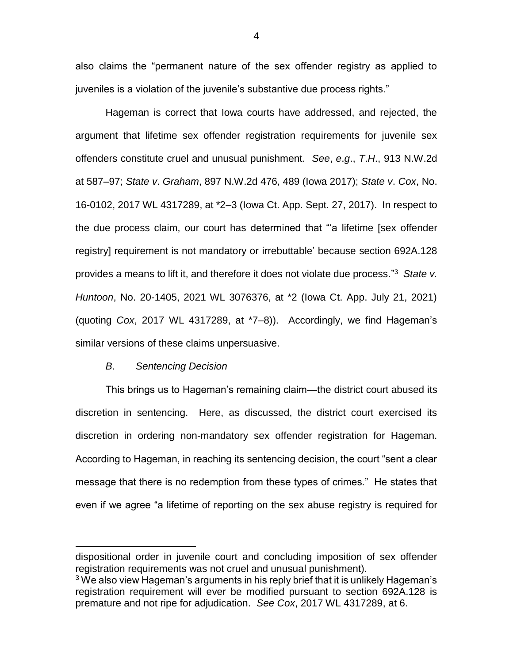also claims the "permanent nature of the sex offender registry as applied to juveniles is a violation of the juvenile's substantive due process rights."

Hageman is correct that Iowa courts have addressed, and rejected, the argument that lifetime sex offender registration requirements for juvenile sex offenders constitute cruel and unusual punishment. *See*, *e*.*g*., *T*.*H*., 913 N.W.2d at 587–97; *State v*. *Graham*, 897 N.W.2d 476, 489 (Iowa 2017); *State v*. *Cox*, No. 16-0102, 2017 WL 4317289, at \*2–3 (Iowa Ct. App. Sept. 27, 2017). In respect to the due process claim, our court has determined that "'a lifetime [sex offender registry] requirement is not mandatory or irrebuttable' because section 692A.128 provides a means to lift it, and therefore it does not violate due process." <sup>3</sup> *State v. Huntoon*, No. 20-1405, 2021 WL 3076376, at \*2 (Iowa Ct. App. July 21, 2021) (quoting *Cox*, 2017 WL 4317289, at \*7–8)). Accordingly, we find Hageman's similar versions of these claims unpersuasive.

#### *B*. *Sentencing Decision*

 $\overline{a}$ 

This brings us to Hageman's remaining claim—the district court abused its discretion in sentencing. Here, as discussed, the district court exercised its discretion in ordering non-mandatory sex offender registration for Hageman. According to Hageman, in reaching its sentencing decision, the court "sent a clear message that there is no redemption from these types of crimes." He states that even if we agree "a lifetime of reporting on the sex abuse registry is required for

dispositional order in juvenile court and concluding imposition of sex offender registration requirements was not cruel and unusual punishment).

 $3$  We also view Hageman's arguments in his reply brief that it is unlikely Hageman's registration requirement will ever be modified pursuant to section 692A.128 is premature and not ripe for adjudication. *See Cox*, 2017 WL 4317289, at 6.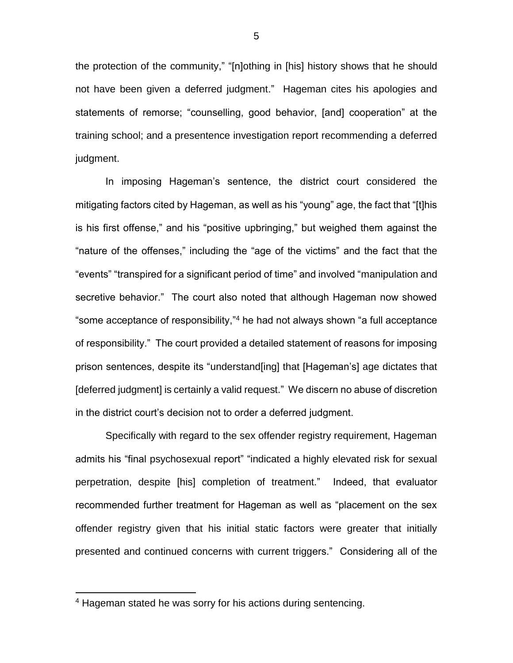the protection of the community," "[n]othing in [his] history shows that he should not have been given a deferred judgment." Hageman cites his apologies and statements of remorse; "counselling, good behavior, [and] cooperation" at the training school; and a presentence investigation report recommending a deferred judgment.

In imposing Hageman's sentence, the district court considered the mitigating factors cited by Hageman, as well as his "young" age, the fact that "[t]his is his first offense," and his "positive upbringing," but weighed them against the "nature of the offenses," including the "age of the victims" and the fact that the "events" "transpired for a significant period of time" and involved "manipulation and secretive behavior." The court also noted that although Hageman now showed "some acceptance of responsibility," <sup>4</sup> he had not always shown "a full acceptance of responsibility." The court provided a detailed statement of reasons for imposing prison sentences, despite its "understand[ing] that [Hageman's] age dictates that [deferred judgment] is certainly a valid request." We discern no abuse of discretion in the district court's decision not to order a deferred judgment.

Specifically with regard to the sex offender registry requirement, Hageman admits his "final psychosexual report" "indicated a highly elevated risk for sexual perpetration, despite [his] completion of treatment." Indeed, that evaluator recommended further treatment for Hageman as well as "placement on the sex offender registry given that his initial static factors were greater that initially presented and continued concerns with current triggers." Considering all of the

 $\overline{a}$ 

<sup>4</sup> Hageman stated he was sorry for his actions during sentencing.